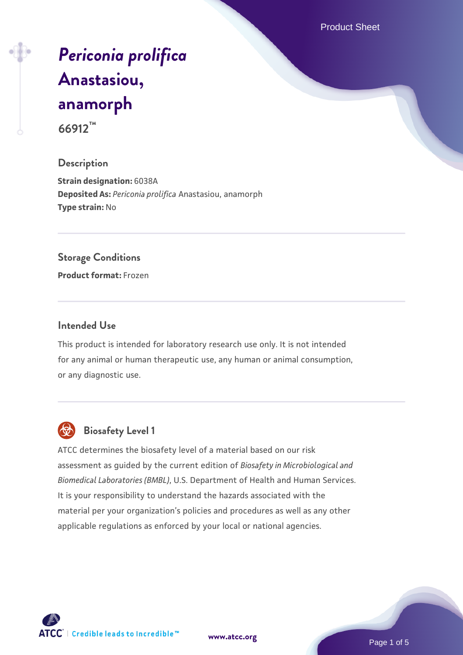Product Sheet

# *[Periconia prolifica](https://www.atcc.org/products/66912)* **[Anastasiou,](https://www.atcc.org/products/66912) [anamorph](https://www.atcc.org/products/66912) 66912™**

# **Description**

**Strain designation:** 6038A **Deposited As:** *Periconia prolifica* Anastasiou, anamorph **Type strain:** No

#### **Storage Conditions**

**Product format:** Frozen

#### **Intended Use**

This product is intended for laboratory research use only. It is not intended for any animal or human therapeutic use, any human or animal consumption, or any diagnostic use.



# **Biosafety Level 1**

ATCC determines the biosafety level of a material based on our risk assessment as guided by the current edition of *Biosafety in Microbiological and Biomedical Laboratories (BMBL)*, U.S. Department of Health and Human Services. It is your responsibility to understand the hazards associated with the material per your organization's policies and procedures as well as any other applicable regulations as enforced by your local or national agencies.

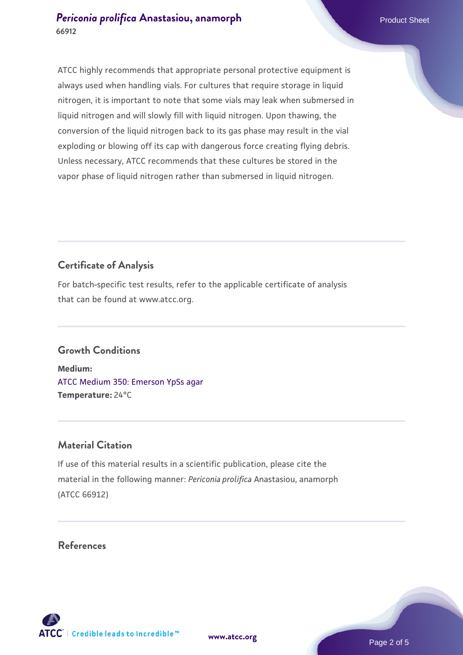# **[Periconia prolifica](https://www.atcc.org/products/66912) [Anastasiou, anamorph](https://www.atcc.org/products/66912)** Product Sheet **66912**

ATCC highly recommends that appropriate personal protective equipment is always used when handling vials. For cultures that require storage in liquid nitrogen, it is important to note that some vials may leak when submersed in liquid nitrogen and will slowly fill with liquid nitrogen. Upon thawing, the conversion of the liquid nitrogen back to its gas phase may result in the vial exploding or blowing off its cap with dangerous force creating flying debris. Unless necessary, ATCC recommends that these cultures be stored in the vapor phase of liquid nitrogen rather than submersed in liquid nitrogen.

# **Certificate of Analysis**

For batch-specific test results, refer to the applicable certificate of analysis that can be found at www.atcc.org.

# **Growth Conditions**

**Medium:**  [ATCC Medium 350: Emerson YpSs agar](https://www.atcc.org/-/media/product-assets/documents/microbial-media-formulations/3/5/0/atcc-medium-350.pdf?rev=d31d155d380a449c8b75f2d802bfc573) **Temperature:** 24°C

# **Material Citation**

If use of this material results in a scientific publication, please cite the material in the following manner: *Periconia prolifica* Anastasiou, anamorph (ATCC 66912)

#### **References**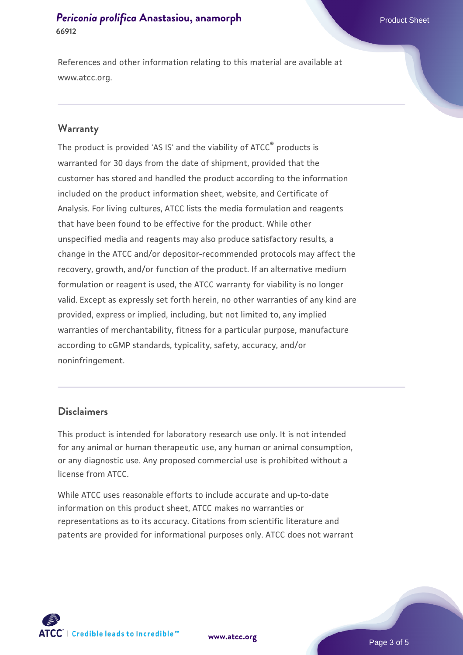# **[Periconia prolifica](https://www.atcc.org/products/66912) [Anastasiou, anamorph](https://www.atcc.org/products/66912)** Product Sheet **66912**

References and other information relating to this material are available at www.atcc.org.

#### **Warranty**

The product is provided 'AS IS' and the viability of ATCC® products is warranted for 30 days from the date of shipment, provided that the customer has stored and handled the product according to the information included on the product information sheet, website, and Certificate of Analysis. For living cultures, ATCC lists the media formulation and reagents that have been found to be effective for the product. While other unspecified media and reagents may also produce satisfactory results, a change in the ATCC and/or depositor-recommended protocols may affect the recovery, growth, and/or function of the product. If an alternative medium formulation or reagent is used, the ATCC warranty for viability is no longer valid. Except as expressly set forth herein, no other warranties of any kind are provided, express or implied, including, but not limited to, any implied warranties of merchantability, fitness for a particular purpose, manufacture according to cGMP standards, typicality, safety, accuracy, and/or noninfringement.

#### **Disclaimers**

This product is intended for laboratory research use only. It is not intended for any animal or human therapeutic use, any human or animal consumption, or any diagnostic use. Any proposed commercial use is prohibited without a license from ATCC.

While ATCC uses reasonable efforts to include accurate and up-to-date information on this product sheet, ATCC makes no warranties or representations as to its accuracy. Citations from scientific literature and patents are provided for informational purposes only. ATCC does not warrant



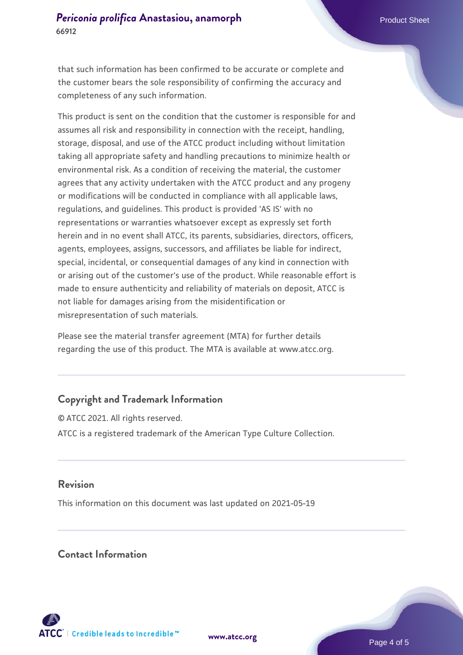that such information has been confirmed to be accurate or complete and the customer bears the sole responsibility of confirming the accuracy and completeness of any such information.

This product is sent on the condition that the customer is responsible for and assumes all risk and responsibility in connection with the receipt, handling, storage, disposal, and use of the ATCC product including without limitation taking all appropriate safety and handling precautions to minimize health or environmental risk. As a condition of receiving the material, the customer agrees that any activity undertaken with the ATCC product and any progeny or modifications will be conducted in compliance with all applicable laws, regulations, and guidelines. This product is provided 'AS IS' with no representations or warranties whatsoever except as expressly set forth herein and in no event shall ATCC, its parents, subsidiaries, directors, officers, agents, employees, assigns, successors, and affiliates be liable for indirect, special, incidental, or consequential damages of any kind in connection with or arising out of the customer's use of the product. While reasonable effort is made to ensure authenticity and reliability of materials on deposit, ATCC is not liable for damages arising from the misidentification or misrepresentation of such materials.

Please see the material transfer agreement (MTA) for further details regarding the use of this product. The MTA is available at www.atcc.org.

# **Copyright and Trademark Information**

© ATCC 2021. All rights reserved. ATCC is a registered trademark of the American Type Culture Collection.

# **Revision**

This information on this document was last updated on 2021-05-19

# **Contact Information**